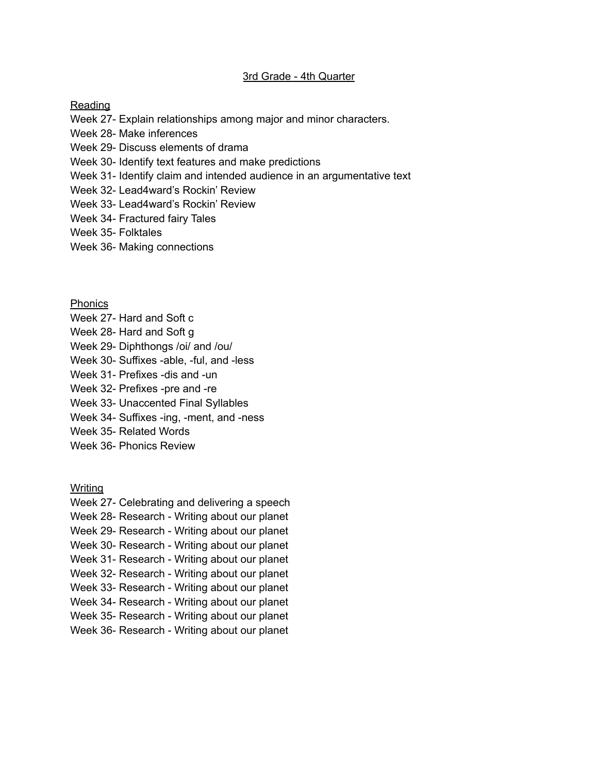## 3rd Grade - 4th Quarter

## Reading

- Week 27- Explain relationships among major and minor characters.
- Week 28- Make inferences
- Week 29- Discuss elements of drama
- Week 30- Identify text features and make predictions
- Week 31- Identify claim and intended audience in an argumentative text
- Week 32- Lead4ward's Rockin' Review
- Week 33- Lead4ward's Rockin' Review
- Week 34- Fractured fairy Tales
- Week 35- Folktales
- Week 36- Making connections

Phonics

- Week 27- Hard and Soft c
- Week 28- Hard and Soft g
- Week 29- Diphthongs /oi/ and /ou/
- Week 30- Suffixes -able, -ful, and -less
- Week 31- Prefixes -dis and -un
- Week 32- Prefixes -pre and -re
- Week 33- Unaccented Final Syllables
- Week 34- Suffixes -ing, -ment, and -ness
- Week 35- Related Words
- Week 36- Phonics Review

Writing

- Week 27- Celebrating and delivering a speech
- Week 28- Research Writing about our planet
- Week 29- Research Writing about our planet
- Week 30- Research Writing about our planet
- Week 31- Research Writing about our planet
- Week 32- Research Writing about our planet
- Week 33- Research Writing about our planet
- Week 34- Research Writing about our planet
- Week 35- Research Writing about our planet
- Week 36- Research Writing about our planet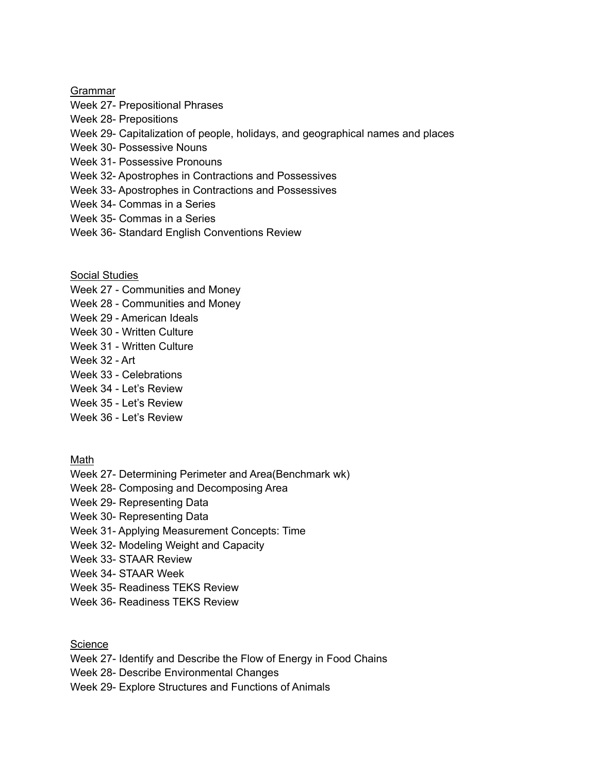## Grammar

- Week 27- Prepositional Phrases
- Week 28- Prepositions
- Week 29- Capitalization of people, holidays, and geographical names and places
- Week 30- Possessive Nouns
- Week 31- Possessive Pronouns
- Week 32- Apostrophes in Contractions and Possessives
- Week 33- Apostrophes in Contractions and Possessives
- Week 34- Commas in a Series
- Week 35- Commas in a Series
- Week 36- Standard English Conventions Review

Social Studies

- Week 27 Communities and Money
- Week 28 Communities and Money
- Week 29 American Ideals
- Week 30 Written Culture
- Week 31 Written Culture
- Week 32 Art
- Week 33 Celebrations
- Week 34 Let's Review
- Week 35 Let's Review
- Week 36 Let's Review

Math

- Week 27- Determining Perimeter and Area(Benchmark wk)
- Week 28- Composing and Decomposing Area
- Week 29- Representing Data
- Week 30- Representing Data
- Week 31- Applying Measurement Concepts: Time
- Week 32- Modeling Weight and Capacity
- Week 33- STAAR Review
- Week 34- STAAR Week
- Week 35- Readiness TEKS Review
- Week 36- Readiness TEKS Review

**Science** 

- Week 27- Identify and Describe the Flow of Energy in Food Chains
- Week 28- Describe Environmental Changes
- Week 29- Explore Structures and Functions of Animals